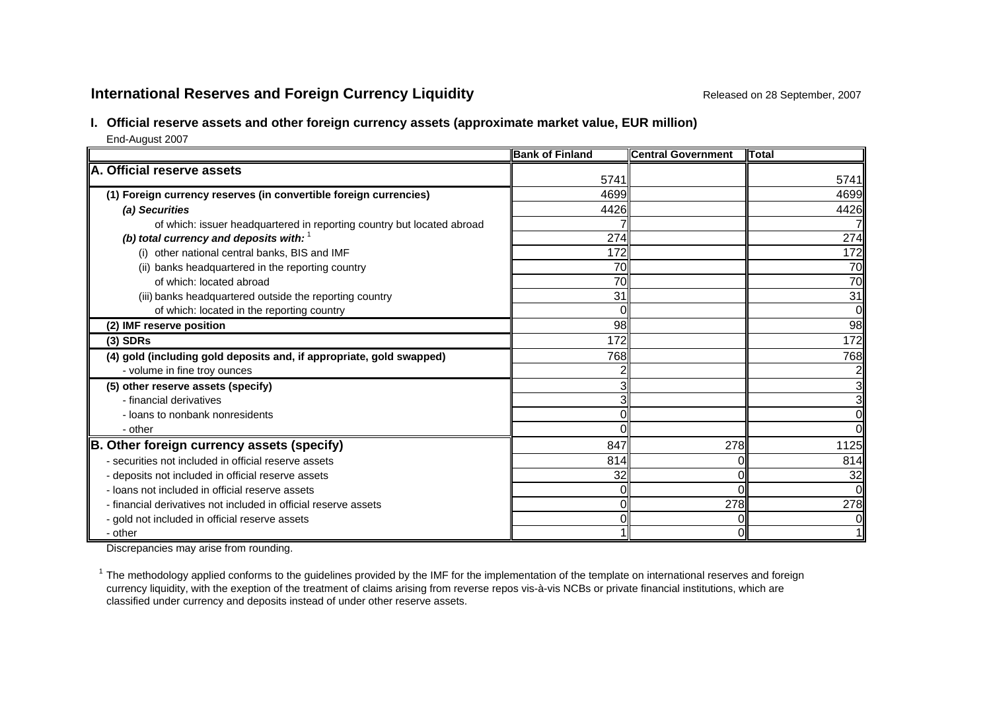# **International Reserves and Foreign Currency Liquidity Repared on 28 September, 2007** Released on 28 September, 2007

## **I. Official reserve assets and other foreign currency assets (approximate market value, EUR million)**

End-August 2007

|                                                                        | <b>Bank of Finland</b> | <b>I</b> Central Government | <b>ITotal</b>   |
|------------------------------------------------------------------------|------------------------|-----------------------------|-----------------|
| A. Official reserve assets                                             |                        |                             |                 |
|                                                                        | 5741                   |                             | 5741            |
| (1) Foreign currency reserves (in convertible foreign currencies)      | 4699                   |                             | 4699            |
| (a) Securities                                                         | 4426                   |                             | 4426            |
| of which: issuer headquartered in reporting country but located abroad |                        |                             |                 |
| (b) total currency and deposits with: $1$                              | 274                    |                             | 274             |
| (i) other national central banks, BIS and IMF                          | 172                    |                             | 172             |
| (ii) banks headquartered in the reporting country                      | 70                     |                             | 70              |
| of which: located abroad                                               | 70                     |                             | $\overline{70}$ |
| (iii) banks headquartered outside the reporting country                | 31                     |                             | 31              |
| of which: located in the reporting country                             |                        |                             | $\Omega$        |
| (2) IMF reserve position                                               | 98                     |                             | 98              |
| $(3)$ SDRs                                                             | 172                    |                             | 172             |
| (4) gold (including gold deposits and, if appropriate, gold swapped)   | 768                    |                             | 768             |
| - volume in fine troy ounces                                           |                        |                             |                 |
| (5) other reserve assets (specify)                                     |                        |                             |                 |
| - financial derivatives                                                | 3                      |                             | 3               |
| - loans to nonbank nonresidents                                        |                        |                             |                 |
| - other                                                                |                        |                             | O               |
| B. Other foreign currency assets (specify)                             | 847                    | 278                         | 1125            |
| - securities not included in official reserve assets                   | 814                    |                             | 814             |
| - deposits not included in official reserve assets                     | 32                     | $\Omega$                    | 32              |
| - loans not included in official reserve assets                        |                        |                             | $\Omega$        |
| - financial derivatives not included in official reserve assets        |                        | 278                         | 278             |
| - gold not included in official reserve assets                         |                        |                             |                 |
| - other                                                                |                        | 0                           |                 |

Discrepancies may arise from rounding.

 $1$  The methodology applied conforms to the guidelines provided by the IMF for the implementation of the template on international reserves and foreign currency liquidity, with the exeption of the treatment of claims arising from reverse repos vis-à-vis NCBs or private financial institutions, which are classified under currency and deposits instead of under other reserve assets.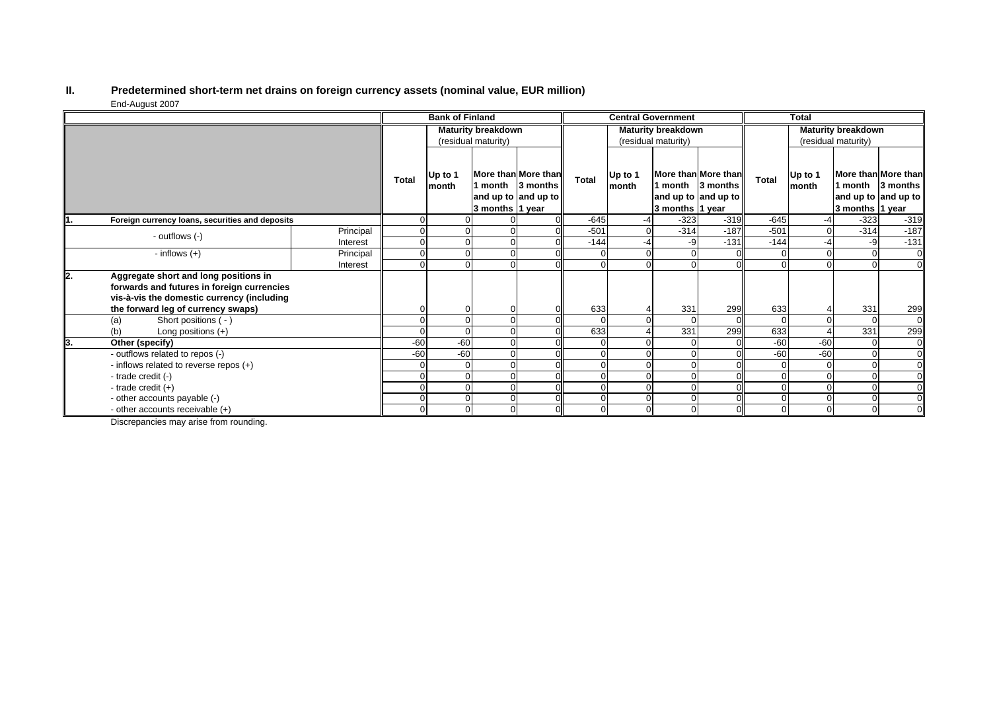#### **II. Predetermined short-term net drains on foreign currency assets (nominal value, EUR million)** End-August 2007

|    |                                                                                                                                   |           | <b>Bank of Finland</b>    |                  |                     | <b>Central Government</b>                                      |                |                  | <b>Total</b>              |                                                                |              |                  |                            |                                                        |
|----|-----------------------------------------------------------------------------------------------------------------------------------|-----------|---------------------------|------------------|---------------------|----------------------------------------------------------------|----------------|------------------|---------------------------|----------------------------------------------------------------|--------------|------------------|----------------------------|--------------------------------------------------------|
|    |                                                                                                                                   |           | <b>Maturity breakdown</b> |                  |                     | <b>Maturity breakdown</b>                                      |                |                  | <b>Maturity breakdown</b> |                                                                |              |                  |                            |                                                        |
|    |                                                                                                                                   |           | (residual maturity)       |                  | (residual maturity) |                                                                |                |                  | (residual maturity)       |                                                                |              |                  |                            |                                                        |
|    |                                                                                                                                   |           | <b>Total</b>              | Up to 1<br>month | 3 months 1 year     | More than More than<br>1 month 3 months<br>and up to and up to | Total          | Up to 1<br>month | 3 months 1 year           | More than More than<br>1 month 3 months<br>and up to and up to | <b>Total</b> | Up to 1<br>month | 1 month<br>3 months 1 year | More than More than<br>3 months<br>and up to and up to |
|    | Foreign currency loans, securities and deposits                                                                                   |           |                           |                  |                     |                                                                | $-645$         | -4               | $-323$                    | $-319$                                                         | $-645$       |                  | $-323$                     | $-319$                                                 |
|    | - outflows (-)                                                                                                                    | Principal | $\Omega$                  |                  |                     |                                                                | $-501$         |                  | $-314$                    | $-187$                                                         | $-501$       | $\Omega$         | $-314$                     | $-187$                                                 |
|    |                                                                                                                                   | Interest  | $\Omega$                  |                  |                     |                                                                | $-144$         | -4               | -9                        | $-131$                                                         | $-144$       | -4               | -9                         | $-131$                                                 |
|    | - inflows $(+)$                                                                                                                   | Principal | 0                         |                  |                     |                                                                |                |                  |                           |                                                                |              |                  | $\overline{0}$             |                                                        |
|    |                                                                                                                                   | Interest  |                           |                  |                     |                                                                |                |                  |                           |                                                                |              |                  | $\Omega$                   |                                                        |
| 2. | Aggregate short and long positions in<br>forwards and futures in foreign currencies<br>vis-à-vis the domestic currency (including |           |                           |                  |                     |                                                                |                |                  |                           |                                                                |              |                  |                            |                                                        |
|    | the forward leg of currency swaps)                                                                                                |           |                           |                  |                     |                                                                | 633            |                  | 331                       | 299                                                            | 633          |                  | 331                        | 299                                                    |
|    | Short positions ( - )<br>(a)                                                                                                      |           |                           |                  |                     |                                                                | $\Omega$       |                  | $\Omega$                  |                                                                |              |                  | $\Omega$                   | $\Omega$                                               |
|    | (b)<br>Long positions $(+)$                                                                                                       |           |                           |                  |                     |                                                                | 633            |                  | 331                       | 299                                                            | 633          |                  | 331                        | 299                                                    |
|    | Other (specify)                                                                                                                   |           | $-60$                     | $-60$            |                     |                                                                | $\Omega$       |                  |                           |                                                                | $-60$        | $-60$            | $\overline{0}$<br>$\Omega$ |                                                        |
|    | - outflows related to repos (-)                                                                                                   |           | $-60$                     | $-60$            |                     |                                                                |                |                  |                           |                                                                | $-60$        | $-60$            |                            |                                                        |
|    | - inflows related to reverse repos (+)                                                                                            |           | 0                         |                  |                     |                                                                |                |                  |                           |                                                                |              |                  |                            |                                                        |
|    | - trade credit (-)                                                                                                                |           |                           |                  |                     |                                                                |                |                  |                           |                                                                |              |                  |                            |                                                        |
|    | - trade credit $(+)$                                                                                                              |           |                           |                  |                     |                                                                | $\Omega$       |                  | $\Omega$                  |                                                                | 0            |                  | $\Omega$                   |                                                        |
|    | - other accounts payable (-)                                                                                                      |           |                           |                  |                     |                                                                |                |                  | $\Omega$                  |                                                                | $\Omega$     |                  | $\mathbf{0}$               |                                                        |
|    | - other accounts receivable (+)                                                                                                   |           | 0                         |                  |                     |                                                                | $\overline{0}$ |                  | $\Omega$                  |                                                                | $\Omega$     | $\Omega$         | $\overline{0}$             |                                                        |

Discrepancies may arise from rounding.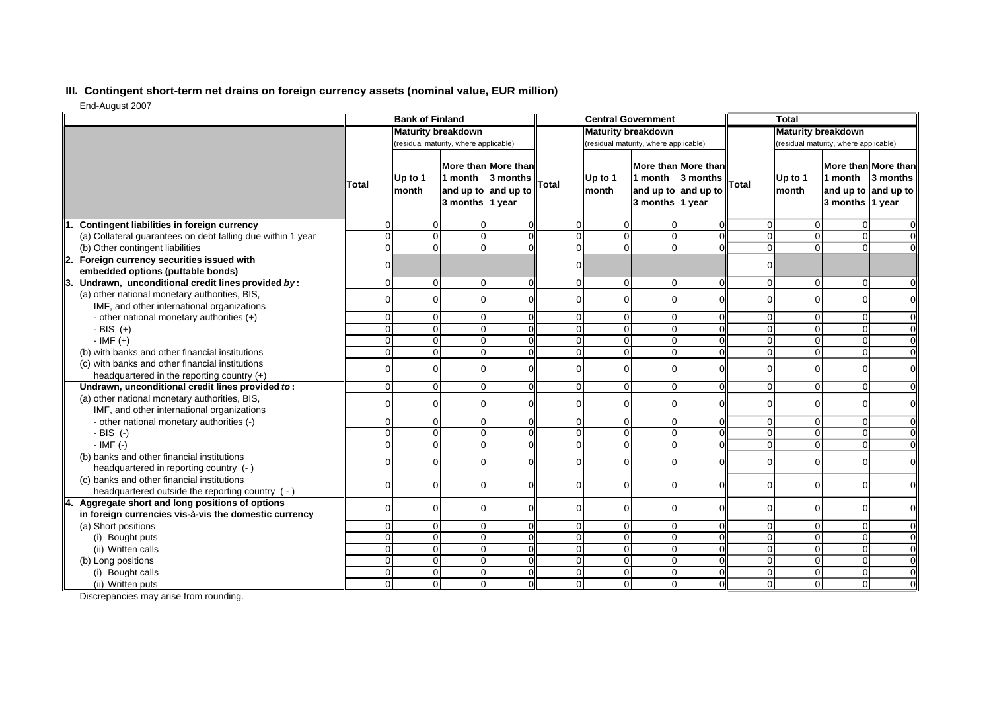## **III. Contingent short-term net drains on foreign currency assets (nominal value, EUR million)**

End-August 2007

|                                                             | <b>Bank of Finland</b>    |                  |                                                   | <b>Central Government</b>       |          |                  |                                                                          | <b>Total</b>              |              |                                       |                                                                          |                |
|-------------------------------------------------------------|---------------------------|------------------|---------------------------------------------------|---------------------------------|----------|------------------|--------------------------------------------------------------------------|---------------------------|--------------|---------------------------------------|--------------------------------------------------------------------------|----------------|
|                                                             | <b>Maturity breakdown</b> |                  |                                                   | <b>Maturity breakdown</b>       |          |                  |                                                                          | <b>Maturity breakdown</b> |              |                                       |                                                                          |                |
|                                                             |                           |                  | (residual maturity, where applicable)             |                                 |          |                  | (residual maturity, where applicable)                                    |                           |              | (residual maturity, where applicable) |                                                                          |                |
|                                                             | <b>Total</b>              | Up to 1<br>month | 1 month<br>and up to and up to<br>3 months 1 year | More than More than<br>3 months | Total    | Up to 1<br>month | More than More than<br>1 month<br>and up to and up to<br>3 months 1 year | 3 months                  | <b>Total</b> | Up to 1<br>month                      | More than More than<br>1 month<br>and up to and up to<br>3 months 1 year | 3 months       |
| Contingent liabilities in foreign currency<br>1.            | $\Omega$                  | 0                | $\Omega$                                          |                                 | $\Omega$ | 0                | $\Omega$                                                                 |                           | $\Omega$     | 0                                     | $\mathbf 0$                                                              | $\Omega$       |
| (a) Collateral guarantees on debt falling due within 1 year | $\Omega$                  | $\mathbf 0$      | $\Omega$                                          |                                 | $\Omega$ | $\Omega$         | $\Omega$                                                                 |                           | $\Omega$     | $\Omega$                              | $\mathbf 0$                                                              | $\overline{0}$ |
| (b) Other contingent liabilities                            | $\mathbf{0}$              | $\mathbf 0$      | $\Omega$                                          | $\Omega$                        | 0        | $\Omega$         | $\Omega$                                                                 |                           | $\Omega$     | $\Omega$                              | $\Omega$                                                                 | $\overline{0}$ |
| 2. Foreign currency securities issued with                  | $\Omega$                  |                  |                                                   |                                 | $\Omega$ |                  |                                                                          |                           | $\Omega$     |                                       |                                                                          |                |
| embedded options (puttable bonds)                           |                           |                  |                                                   |                                 |          |                  |                                                                          |                           |              |                                       |                                                                          |                |
| 3. Undrawn, unconditional credit lines provided by:         | $\overline{0}$            | 0                | $\Omega$                                          | $\Omega$                        | $\Omega$ | $\Omega$         | $\mathbf{0}$                                                             | $\Omega$                  | $\Omega$     | $\mathbf{0}$                          | $\mathbf 0$                                                              | $\overline{0}$ |
| (a) other national monetary authorities, BIS,               | $\Omega$                  | $\Omega$         | $\Omega$                                          |                                 | $\Omega$ |                  | ŋ                                                                        |                           |              | $\Omega$                              | $\mathbf 0$                                                              | $\overline{0}$ |
| IMF, and other international organizations                  |                           |                  |                                                   |                                 |          |                  |                                                                          |                           |              |                                       |                                                                          |                |
| - other national monetary authorities (+)                   | $\overline{0}$            | $\overline{0}$   | $\Omega$                                          | $\Omega$                        | 0        | $\Omega$         | $\mathbf 0$                                                              |                           | $\Omega$     | $\overline{0}$                        | $\mathbf 0$                                                              | $\overline{0}$ |
| - BIS $(+)$                                                 | $\Omega$                  | $\mathbf 0$      | $\Omega$                                          |                                 | 0        | $\Omega$         | $\mathbf{0}$                                                             |                           | $\Omega$     | $\Omega$                              | $\mathbf 0$                                                              | $\overline{0}$ |
| $-IMF (+)$                                                  | $\Omega$                  | $\mathbf 0$      | $\Omega$                                          |                                 | $\Omega$ | $\Omega$         | $\Omega$                                                                 |                           | $\Omega$     | $\Omega$                              | $\mathbf 0$                                                              | $\overline{0}$ |
| (b) with banks and other financial institutions             | $\Omega$                  | $\mathbf 0$      | $\Omega$                                          | $\Omega$                        | $\Omega$ | $\Omega$         | $\Omega$                                                                 | $\Omega$                  | $\Omega$     | $\Omega$                              | $\overline{0}$                                                           | $\overline{0}$ |
| (c) with banks and other financial institutions             | $\Omega$                  | $\Omega$         | $\Omega$                                          |                                 | $\Omega$ |                  | $\Omega$                                                                 |                           | ∩            | $\Omega$                              | $\mathbf 0$                                                              | $\overline{0}$ |
| headquartered in the reporting country $(+)$                |                           |                  |                                                   |                                 |          |                  |                                                                          |                           |              |                                       |                                                                          |                |
| Undrawn, unconditional credit lines provided to:            | $\overline{0}$            | $\mathbf 0$      | $\mathbf 0$                                       | $\Omega$                        | 0        | $\Omega$         | $\mathbf{0}$                                                             | $\mathbf 0$               | $\Omega$     | $\overline{0}$                        | $\mathbf 0$                                                              | $\overline{0}$ |
| (a) other national monetary authorities, BIS,               | $\Omega$                  | $\Omega$         | $\Omega$                                          |                                 | $\Omega$ | ∩                | $\Omega$                                                                 |                           |              | $\Omega$                              | $\Omega$                                                                 | $\overline{0}$ |
| IMF, and other international organizations                  |                           |                  |                                                   |                                 |          |                  |                                                                          |                           |              |                                       |                                                                          |                |
| - other national monetary authorities (-)                   | $\overline{0}$            | 0                | $\mathbf 0$                                       |                                 | 0        | $\Omega$         | $\overline{0}$                                                           |                           | $\Omega$     | $\overline{0}$                        | $\mathbf 0$                                                              | $\overline{0}$ |
| $-BIS$ (-)                                                  | $\Omega$                  | $\mathbf 0$      | $\Omega$                                          | $\Omega$                        | 0        | $\Omega$         | $\Omega$                                                                 | $\Omega$                  | $\Omega$     | $\Omega$                              | $\mathbf 0$                                                              | $\overline{0}$ |
| $-IMF(-)$                                                   | $\Omega$                  | $\overline{0}$   | $\Omega$                                          | $\Omega$                        | $\Omega$ | $\Omega$         | $\Omega$                                                                 | $\Omega$                  | $\Omega$     | $\Omega$                              | $\mathbf 0$                                                              | $\overline{0}$ |
| (b) banks and other financial institutions                  | $\Omega$                  |                  |                                                   |                                 | $\Omega$ |                  |                                                                          |                           |              |                                       |                                                                          |                |
| headquartered in reporting country (-)                      |                           | 0                | $\Omega$                                          | $\Omega$                        |          | 0                | $\Omega$                                                                 |                           | $\Omega$     | $\overline{0}$                        | $\mathbf 0$                                                              | $\overline{0}$ |
| (c) banks and other financial institutions                  |                           |                  |                                                   |                                 |          | ∩                |                                                                          |                           |              |                                       |                                                                          |                |
| headquartered outside the reporting country (-)             | 0                         | 0                | $\Omega$                                          |                                 | $\Omega$ |                  | $\Omega$                                                                 |                           | $\Omega$     | $\Omega$                              | $\mathbf 0$                                                              | $\overline{0}$ |
| 4. Aggregate short and long positions of options            |                           |                  |                                                   |                                 |          |                  |                                                                          |                           |              |                                       |                                                                          |                |
| in foreign currencies vis-à-vis the domestic currency       | ŋ                         | 0                | $\Omega$                                          | $\Omega$                        | $\Omega$ | ∩                | $\Omega$                                                                 |                           | $\Omega$     | $\overline{0}$                        | $\mathbf 0$                                                              | $\overline{0}$ |
| (a) Short positions                                         | $\mathbf{0}$              | $\mathbf 0$      | $\mathbf 0$                                       | $\Omega$                        | 0        | $\overline{0}$   | $\mathbf 0$                                                              |                           | $\Omega$     | $\overline{0}$                        | $\mathbf 0$                                                              | $\overline{0}$ |
| (i) Bought puts                                             | $\Omega$                  | $\pmb{0}$        | $\Omega$                                          |                                 | 0        | $\Omega$         | $\mathbf 0$                                                              |                           | $\Omega$     | $\overline{0}$                        | $\mathbf 0$                                                              | $\overline{0}$ |
| (ii) Written calls                                          | $\overline{0}$            | $\overline{0}$   | $\Omega$                                          |                                 | $\Omega$ | $\Omega$         | $\overline{0}$                                                           |                           | $\Omega$     | $\Omega$                              | $\mathbf 0$                                                              | $\overline{0}$ |
| (b) Long positions                                          | $\Omega$                  | $\mathbf 0$      | $\Omega$                                          |                                 | $\Omega$ | $\Omega$         | $\Omega$                                                                 |                           | $\Omega$     | $\Omega$                              | $\mathbf 0$                                                              | $\overline{0}$ |
| (i) Bought calls                                            | $\Omega$                  | $\pmb{0}$        | $\Omega$                                          |                                 | $\Omega$ | 0                | $\overline{0}$                                                           |                           | $\Omega$     | $\Omega$                              | $\mathbf 0$                                                              | $\overline{0}$ |
| (ii) Written puts                                           | $\Omega$                  | $\overline{0}$   | $\Omega$                                          | $\Omega$                        | 0        | $\Omega$         | $\Omega$                                                                 | $\Omega$                  | $\Omega$     | $\overline{0}$                        | $\mathbf 0$                                                              | $\overline{0}$ |

Discrepancies may arise from rounding.